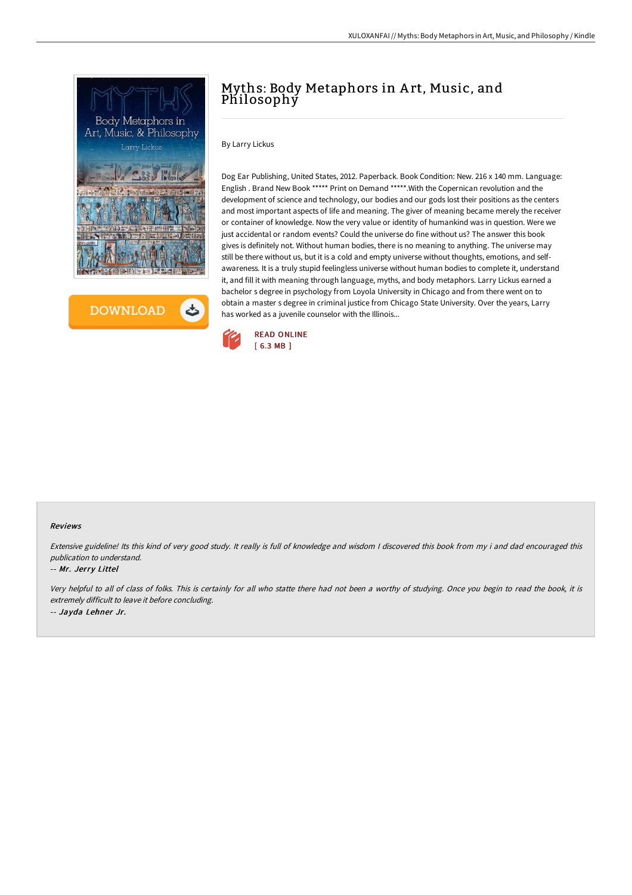



# Myths: Body Metaphors in A rt, Music, and Philosophy

By Larry Lickus

Dog Ear Publishing, United States, 2012. Paperback. Book Condition: New. 216 x 140 mm. Language: English . Brand New Book \*\*\*\*\* Print on Demand \*\*\*\*\*.With the Copernican revolution and the development of science and technology, our bodies and our gods lost their positions as the centers and most important aspects of life and meaning. The giver of meaning became merely the receiver or container of knowledge. Now the very value or identity of humankind was in question. Were we just accidental or random events? Could the universe do fine without us? The answer this book gives is definitely not. Without human bodies, there is no meaning to anything. The universe may still be there without us, but it is a cold and empty universe without thoughts, emotions, and selfawareness. It is a truly stupid feelingless universe without human bodies to complete it, understand it, and fill it with meaning through language, myths, and body metaphors. Larry Lickus earned a bachelor s degree in psychology from Loyola University in Chicago and from there went on to obtain a master s degree in criminal justice from Chicago State University. Over the years, Larry has worked as a juvenile counselor with the Illinois...



#### Reviews

Extensive guideline! Its this kind of very good study. It really is full of knowledge and wisdom <sup>I</sup> discovered this book from my i and dad encouraged this publication to understand.

### -- Mr. Jerry Littel

Very helpful to all of class of folks. This is certainly for all who statte there had not been <sup>a</sup> worthy of studying. Once you begin to read the book, it is extremely difficult to leave it before concluding. -- Jayda Lehner Jr.